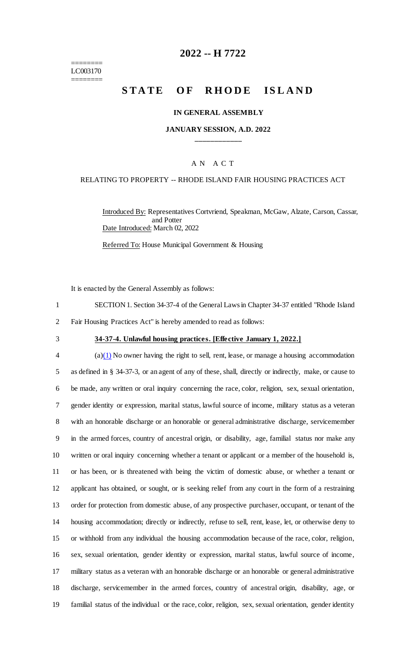======== LC003170 ========

# **2022 -- H 7722**

# **STATE OF RHODE ISLAND**

#### **IN GENERAL ASSEMBLY**

### **JANUARY SESSION, A.D. 2022 \_\_\_\_\_\_\_\_\_\_\_\_**

### A N A C T

#### RELATING TO PROPERTY -- RHODE ISLAND FAIR HOUSING PRACTICES ACT

Introduced By: Representatives Cortvriend, Speakman, McGaw, Alzate, Carson, Cassar, and Potter Date Introduced: March 02, 2022

Referred To: House Municipal Government & Housing

It is enacted by the General Assembly as follows:

1 SECTION 1. Section 34-37-4 of the General Laws in Chapter 34-37 entitled "Rhode Island 2 Fair Housing Practices Act" is hereby amended to read as follows:

#### 3 **34-37-4. Unlawful housing practices. [Effective January 1, 2022.]**

 (a) $(1)$  No owner having the right to sell, rent, lease, or manage a housing accommodation as defined in § 34-37-3, or an agent of any of these, shall, directly or indirectly, make, or cause to be made, any written or oral inquiry concerning the race, color, religion, sex, sexual orientation, gender identity or expression, marital status, lawful source of income, military status as a veteran with an honorable discharge or an honorable or general administrative discharge, servicemember in the armed forces, country of ancestral origin, or disability, age, familial status nor make any written or oral inquiry concerning whether a tenant or applicant or a member of the household is, or has been, or is threatened with being the victim of domestic abuse, or whether a tenant or applicant has obtained, or sought, or is seeking relief from any court in the form of a restraining order for protection from domestic abuse, of any prospective purchaser, occupant, or tenant of the housing accommodation; directly or indirectly, refuse to sell, rent, lease, let, or otherwise deny to or withhold from any individual the housing accommodation because of the race, color, religion, sex, sexual orientation, gender identity or expression, marital status, lawful source of income, military status as a veteran with an honorable discharge or an honorable or general administrative discharge, servicemember in the armed forces, country of ancestral origin, disability, age, or familial status of the individual or the race, color, religion, sex, sexual orientation, gender identity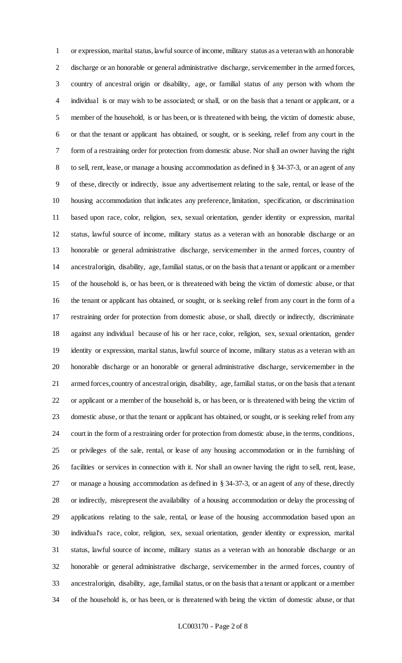or expression, marital status, lawful source of income, military status as a veteran with an honorable discharge or an honorable or general administrative discharge, servicemember in the armed forces, country of ancestral origin or disability, age, or familial status of any person with whom the individual is or may wish to be associated; or shall, or on the basis that a tenant or applicant, or a member of the household, is or has been, or is threatened with being, the victim of domestic abuse, or that the tenant or applicant has obtained, or sought, or is seeking, relief from any court in the form of a restraining order for protection from domestic abuse. Nor shall an owner having the right to sell, rent, lease, or manage a housing accommodation as defined in § 34-37-3, or an agent of any of these, directly or indirectly, issue any advertisement relating to the sale, rental, or lease of the housing accommodation that indicates any preference, limitation, specification, or discrimination based upon race, color, religion, sex, sexual orientation, gender identity or expression, marital status, lawful source of income, military status as a veteran with an honorable discharge or an honorable or general administrative discharge, servicemember in the armed forces, country of ancestral origin, disability, age, familial status, or on the basis that a tenant or applicant or a member of the household is, or has been, or is threatened with being the victim of domestic abuse, or that the tenant or applicant has obtained, or sought, or is seeking relief from any court in the form of a restraining order for protection from domestic abuse, or shall, directly or indirectly, discriminate against any individual because of his or her race, color, religion, sex, sexual orientation, gender identity or expression, marital status, lawful source of income, military status as a veteran with an honorable discharge or an honorable or general administrative discharge, servicemember in the armed forces, country of ancestral origin, disability, age, familial status, or on the basis that a tenant or applicant or a member of the household is, or has been, or is threatened with being the victim of domestic abuse, or that the tenant or applicant has obtained, or sought, or is seeking relief from any court in the form of a restraining order for protection from domestic abuse, in the terms, conditions, or privileges of the sale, rental, or lease of any housing accommodation or in the furnishing of facilities or services in connection with it. Nor shall an owner having the right to sell, rent, lease, or manage a housing accommodation as defined in § 34-37-3, or an agent of any of these, directly or indirectly, misrepresent the availability of a housing accommodation or delay the processing of applications relating to the sale, rental, or lease of the housing accommodation based upon an individual's race, color, religion, sex, sexual orientation, gender identity or expression, marital status, lawful source of income, military status as a veteran with an honorable discharge or an honorable or general administrative discharge, servicemember in the armed forces, country of ancestral origin, disability, age, familial status, or on the basis that a tenant or applicant or a member of the household is, or has been, or is threatened with being the victim of domestic abuse, or that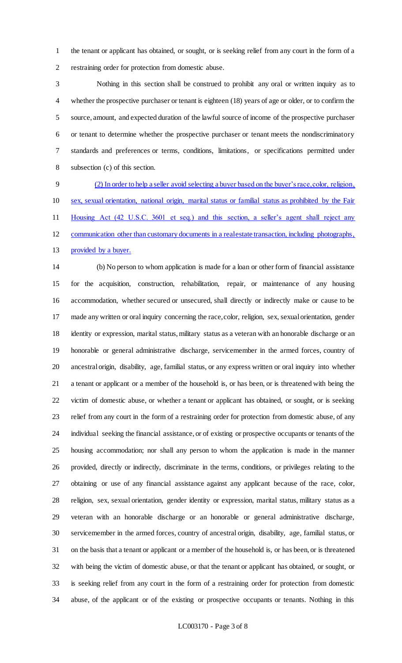the tenant or applicant has obtained, or sought, or is seeking relief from any court in the form of a restraining order for protection from domestic abuse.

 Nothing in this section shall be construed to prohibit any oral or written inquiry as to whether the prospective purchaser or tenant is eighteen (18) years of age or older, or to confirm the source, amount, and expected duration of the lawful source of income of the prospective purchaser or tenant to determine whether the prospective purchaser or tenant meets the nondiscriminatory standards and preferences or terms, conditions, limitations, or specifications permitted under subsection (c) of this section.

 (2) In order to help a seller avoid selecting a buyer based on the buyer's race, color, religion, sex, sexual orientation, national origin, marital status or familial status as prohibited by the Fair Housing Act (42 U.S.C. 3601 et seq.) and this section, a seller's agent shall reject any communication other than customary documents in a real estate transaction, including photographs, 13 provided by a buyer.

 (b) No person to whom application is made for a loan or other form of financial assistance for the acquisition, construction, rehabilitation, repair, or maintenance of any housing accommodation, whether secured or unsecured, shall directly or indirectly make or cause to be made any written or oral inquiry concerning the race, color, religion, sex, sexual orientation, gender identity or expression, marital status, military status as a veteran with an honorable discharge or an honorable or general administrative discharge, servicemember in the armed forces, country of ancestral origin, disability, age, familial status, or any express written or oral inquiry into whether a tenant or applicant or a member of the household is, or has been, or is threatened with being the victim of domestic abuse, or whether a tenant or applicant has obtained, or sought, or is seeking relief from any court in the form of a restraining order for protection from domestic abuse, of any individual seeking the financial assistance, or of existing or prospective occupants or tenants of the housing accommodation; nor shall any person to whom the application is made in the manner provided, directly or indirectly, discriminate in the terms, conditions, or privileges relating to the obtaining or use of any financial assistance against any applicant because of the race, color, religion, sex, sexual orientation, gender identity or expression, marital status, military status as a veteran with an honorable discharge or an honorable or general administrative discharge, servicemember in the armed forces, country of ancestral origin, disability, age, familial status, or on the basis that a tenant or applicant or a member of the household is, or has been, or is threatened with being the victim of domestic abuse, or that the tenant or applicant has obtained, or sought, or is seeking relief from any court in the form of a restraining order for protection from domestic abuse, of the applicant or of the existing or prospective occupants or tenants. Nothing in this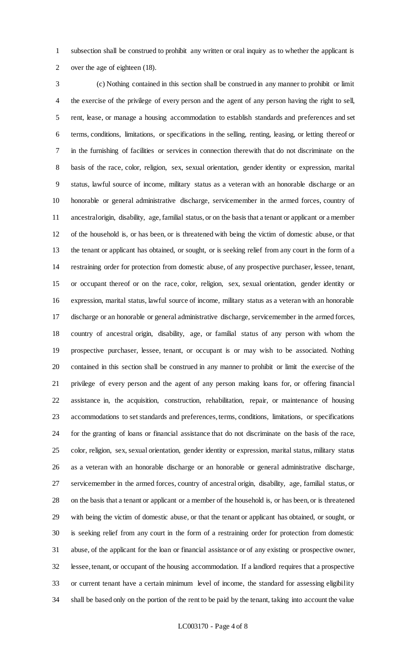subsection shall be construed to prohibit any written or oral inquiry as to whether the applicant is over the age of eighteen (18).

 (c) Nothing contained in this section shall be construed in any manner to prohibit or limit the exercise of the privilege of every person and the agent of any person having the right to sell, rent, lease, or manage a housing accommodation to establish standards and preferences and set terms, conditions, limitations, or specifications in the selling, renting, leasing, or letting thereof or in the furnishing of facilities or services in connection therewith that do not discriminate on the basis of the race, color, religion, sex, sexual orientation, gender identity or expression, marital status, lawful source of income, military status as a veteran with an honorable discharge or an honorable or general administrative discharge, servicemember in the armed forces, country of ancestral origin, disability, age, familial status, or on the basis that a tenant or applicant or a member of the household is, or has been, or is threatened with being the victim of domestic abuse, or that the tenant or applicant has obtained, or sought, or is seeking relief from any court in the form of a restraining order for protection from domestic abuse, of any prospective purchaser, lessee, tenant, or occupant thereof or on the race, color, religion, sex, sexual orientation, gender identity or expression, marital status, lawful source of income, military status as a veteran with an honorable discharge or an honorable or general administrative discharge, servicemember in the armed forces, country of ancestral origin, disability, age, or familial status of any person with whom the prospective purchaser, lessee, tenant, or occupant is or may wish to be associated. Nothing contained in this section shall be construed in any manner to prohibit or limit the exercise of the privilege of every person and the agent of any person making loans for, or offering financial assistance in, the acquisition, construction, rehabilitation, repair, or maintenance of housing accommodations to set standards and preferences, terms, conditions, limitations, or specifications for the granting of loans or financial assistance that do not discriminate on the basis of the race, color, religion, sex, sexual orientation, gender identity or expression, marital status, military status as a veteran with an honorable discharge or an honorable or general administrative discharge, servicemember in the armed forces, country of ancestral origin, disability, age, familial status, or on the basis that a tenant or applicant or a member of the household is, or has been, or is threatened with being the victim of domestic abuse, or that the tenant or applicant has obtained, or sought, or is seeking relief from any court in the form of a restraining order for protection from domestic abuse, of the applicant for the loan or financial assistance or of any existing or prospective owner, lessee, tenant, or occupant of the housing accommodation. If a landlord requires that a prospective or current tenant have a certain minimum level of income, the standard for assessing eligibility shall be based only on the portion of the rent to be paid by the tenant, taking into account the value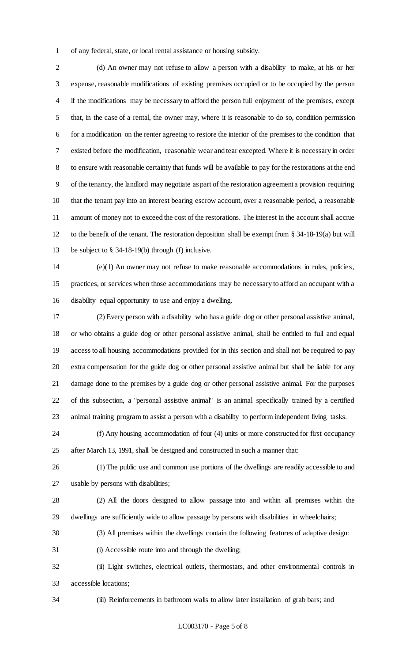of any federal, state, or local rental assistance or housing subsidy.

 (d) An owner may not refuse to allow a person with a disability to make, at his or her expense, reasonable modifications of existing premises occupied or to be occupied by the person if the modifications may be necessary to afford the person full enjoyment of the premises, except that, in the case of a rental, the owner may, where it is reasonable to do so, condition permission for a modification on the renter agreeing to restore the interior of the premises to the condition that existed before the modification, reasonable wear and tear excepted. Where it is necessary in order to ensure with reasonable certainty that funds will be available to pay for the restorations at the end of the tenancy, the landlord may negotiate as part of the restoration agreement a provision requiring 10 that the tenant pay into an interest bearing escrow account, over a reasonable period, a reasonable amount of money not to exceed the cost of the restorations. The interest in the account shall accrue to the benefit of the tenant. The restoration deposition shall be exempt from § 34-18-19(a) but will be subject to § 34-18-19(b) through (f) inclusive.

 (e)(1) An owner may not refuse to make reasonable accommodations in rules, policies, practices, or services when those accommodations may be necessary to afford an occupant with a disability equal opportunity to use and enjoy a dwelling.

 (2) Every person with a disability who has a guide dog or other personal assistive animal, or who obtains a guide dog or other personal assistive animal, shall be entitled to full and equal access to all housing accommodations provided for in this section and shall not be required to pay extra compensation for the guide dog or other personal assistive animal but shall be liable for any damage done to the premises by a guide dog or other personal assistive animal. For the purposes of this subsection, a "personal assistive animal" is an animal specifically trained by a certified animal training program to assist a person with a disability to perform independent living tasks.

 (f) Any housing accommodation of four (4) units or more constructed for first occupancy after March 13, 1991, shall be designed and constructed in such a manner that:

 (1) The public use and common use portions of the dwellings are readily accessible to and usable by persons with disabilities;

 (2) All the doors designed to allow passage into and within all premises within the dwellings are sufficiently wide to allow passage by persons with disabilities in wheelchairs;

(3) All premises within the dwellings contain the following features of adaptive design:

(i) Accessible route into and through the dwelling;

 (ii) Light switches, electrical outlets, thermostats, and other environmental controls in accessible locations;

(iii) Reinforcements in bathroom walls to allow later installation of grab bars; and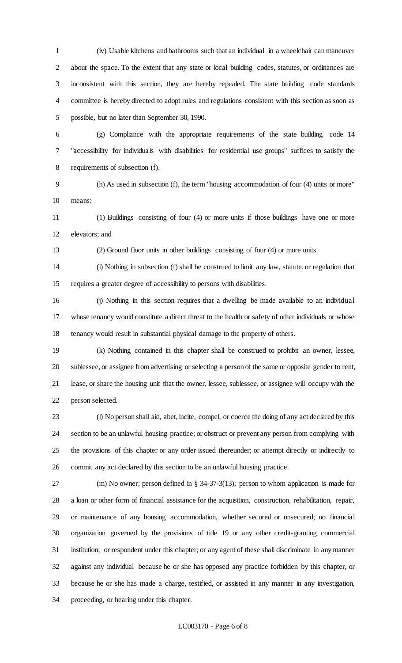(iv) Usable kitchens and bathrooms such that an individual in a wheelchair can maneuver about the space. To the extent that any state or local building codes, statutes, or ordinances are inconsistent with this section, they are hereby repealed. The state building code standards committee is hereby directed to adopt rules and regulations consistent with this section as soon as possible, but no later than September 30, 1990.

 (g) Compliance with the appropriate requirements of the state building code 14 "accessibility for individuals with disabilities for residential use groups" suffices to satisfy the requirements of subsection (f).

 (h) As used in subsection (f), the term "housing accommodation of four (4) units or more" means:

 (1) Buildings consisting of four (4) or more units if those buildings have one or more elevators; and

(2) Ground floor units in other buildings consisting of four (4) or more units.

 (i) Nothing in subsection (f) shall be construed to limit any law, statute, or regulation that requires a greater degree of accessibility to persons with disabilities.

 (j) Nothing in this section requires that a dwelling be made available to an individual whose tenancy would constitute a direct threat to the health or safety of other individuals or whose tenancy would result in substantial physical damage to the property of others.

 (k) Nothing contained in this chapter shall be construed to prohibit an owner, lessee, sublessee, or assignee from advertising or selecting a person of the same or opposite gender to rent, lease, or share the housing unit that the owner, lessee, sublessee, or assignee will occupy with the person selected.

 (l) No person shall aid, abet, incite, compel, or coerce the doing of any act declared by this section to be an unlawful housing practice; or obstruct or prevent any person from complying with the provisions of this chapter or any order issued thereunder; or attempt directly or indirectly to commit any act declared by this section to be an unlawful housing practice.

 (m) No owner; person defined in § 34-37-3(13); person to whom application is made for a loan or other form of financial assistance for the acquisition, construction, rehabilitation, repair, or maintenance of any housing accommodation, whether secured or unsecured; no financial organization governed by the provisions of title 19 or any other credit-granting commercial institution; or respondent under this chapter; or any agent of these shall discriminate in any manner against any individual because he or she has opposed any practice forbidden by this chapter, or because he or she has made a charge, testified, or assisted in any manner in any investigation, proceeding, or hearing under this chapter.

#### LC003170 - Page 6 of 8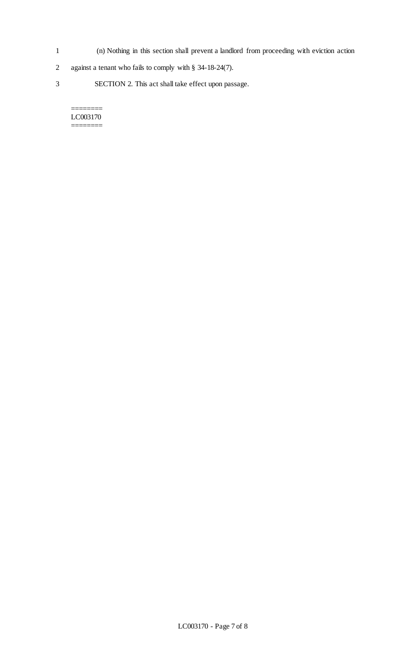- 1 (n) Nothing in this section shall prevent a landlord from proceeding with eviction action
- 2 against a tenant who fails to comply with § 34-18-24(7).
- 3 SECTION 2. This act shall take effect upon passage.

#### LC003170 ========

 $=$ 

LC003170 - Page 7 of 8